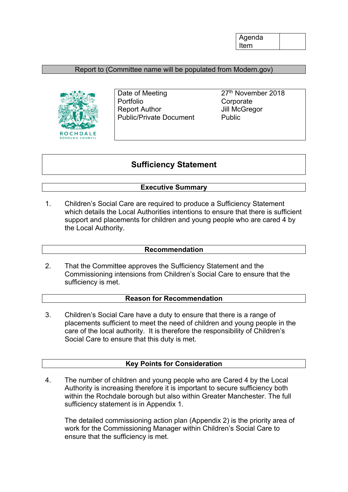## Report to (Committee name will be populated from Modern.gov)



Date of Meeting 27<sup>th</sup> November 2018 Portfolio **Corporate** Report Author **Jill McGregor** Public/Private Document Public

# **Sufficiency Statement**

## **Executive Summary**

1. Children's Social Care are required to produce a Sufficiency Statement which details the Local Authorities intentions to ensure that there is sufficient support and placements for children and young people who are cared 4 by the Local Authority.

#### **Recommendation**

2. That the Committee approves the Sufficiency Statement and the Commissioning intensions from Children's Social Care to ensure that the sufficiency is met.

#### **Reason for Recommendation**

3. Children's Social Care have a duty to ensure that there is a range of placements sufficient to meet the need of children and young people in the care of the local authority. It is therefore the responsibility of Children's Social Care to ensure that this duty is met.

#### **Key Points for Consideration**

4. The number of children and young people who are Cared 4 by the Local Authority is increasing therefore it is important to secure sufficiency both within the Rochdale borough but also within Greater Manchester. The full sufficiency statement is in Appendix 1.

The detailed commissioning action plan (Appendix 2) is the priority area of work for the Commissioning Manager within Children's Social Care to ensure that the sufficiency is met.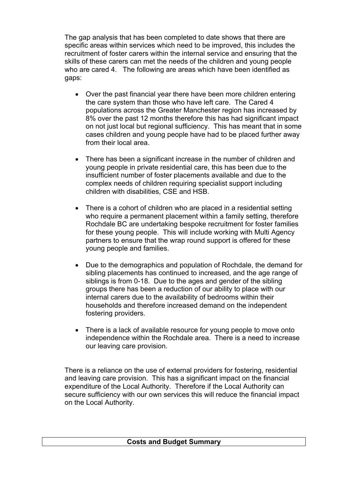The gap analysis that has been completed to date shows that there are specific areas within services which need to be improved, this includes the recruitment of foster carers within the internal service and ensuring that the skills of these carers can met the needs of the children and young people who are cared 4. The following are areas which have been identified as gaps:

- Over the past financial year there have been more children entering the care system than those who have left care. The Cared 4 populations across the Greater Manchester region has increased by 8% over the past 12 months therefore this has had significant impact on not just local but regional sufficiency. This has meant that in some cases children and young people have had to be placed further away from their local area.
- There has been a significant increase in the number of children and young people in private residential care, this has been due to the insufficient number of foster placements available and due to the complex needs of children requiring specialist support including children with disabilities, CSE and HSB.
- There is a cohort of children who are placed in a residential setting who require a permanent placement within a family setting, therefore Rochdale BC are undertaking bespoke recruitment for foster families for these young people. This will include working with Multi Agency partners to ensure that the wrap round support is offered for these young people and families.
- Due to the demographics and population of Rochdale, the demand for sibling placements has continued to increased, and the age range of siblings is from 0-18. Due to the ages and gender of the sibling groups there has been a reduction of our ability to place with our internal carers due to the availability of bedrooms within their households and therefore increased demand on the independent fostering providers.
- There is a lack of available resource for young people to move onto independence within the Rochdale area. There is a need to increase our leaving care provision.

There is a reliance on the use of external providers for fostering, residential and leaving care provision. This has a significant impact on the financial expenditure of the Local Authority. Therefore if the Local Authority can secure sufficiency with our own services this will reduce the financial impact on the Local Authority.